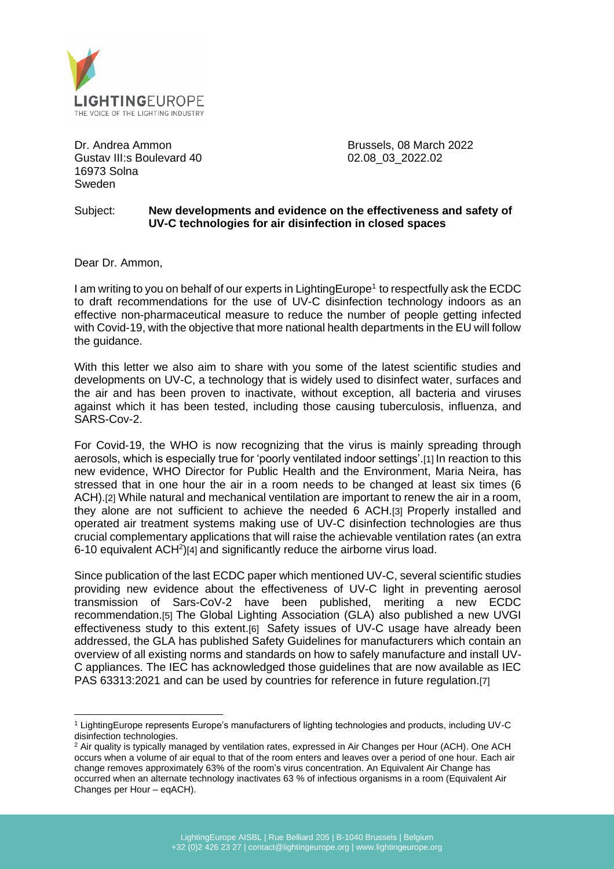

Dr. Andrea Ammon Gustav III:s Boulevard 40 16973 Solna Sweden

Brussels, 08 March 2022 02.08\_03\_2022.02

## Subject: **New developments and evidence on the effectiveness and safety of UV-C technologies for air disinfection in closed spaces**

Dear Dr. Ammon,

I am writing to you on behalf of our experts in LightingEurope<sup>1</sup> to respectfully ask the ECDC to draft recommendations for the use of UV-C disinfection technology indoors as an effective non-pharmaceutical measure to reduce the number of people getting infected with Covid-19, with the objective that more national health departments in the EU will follow the guidance.

With this letter we also aim to share with you some of the latest scientific studies and developments on UV-C, a technology that is widely used to disinfect water, surfaces and the air and has been proven to inactivate, without exception, all bacteria and viruses against which it has been tested, including those causing tuberculosis, influenza, and SARS-Cov-2.

For Covid-19, the WHO is now recognizing that the virus is mainly spreading through aerosols, which is especially true for 'poorly ventilated indoor settings'.[1] In reaction to this new evidence, WHO Director for Public Health and the Environment, Maria Neira, has stressed that in one hour the air in a room needs to be changed at least six times (6 ACH).[2] While natural and mechanical ventilation are important to renew the air in a room, they alone are not sufficient to achieve the needed 6 ACH.[3] Properly installed and operated air treatment systems making use of UV-C disinfection technologies are thus crucial complementary applications that will raise the achievable ventilation rates (an extra 6-10 equivalent ACH<sup>2</sup>)[4] and significantly reduce the airborne virus load.

Since publication of the last ECDC paper which mentioned UV-C, several scientific studies providing new evidence about the effectiveness of UV-C light in preventing aerosol transmission of Sars-CoV-2 have been published, meriting a new ECDC recommendation.[5] The Global Lighting Association (GLA) also published a new UVGI effectiveness study to this extent.[6] Safety issues of UV-C usage have already been addressed, the GLA has published Safety Guidelines for manufacturers which contain an overview of all existing norms and standards on how to safely manufacture and install UV-C appliances. The IEC has acknowledged those guidelines that are now available as IEC PAS 63313:2021 and can be used by countries for reference in future regulation.[7]

<sup>1</sup> LightingEurope represents Europe's manufacturers of lighting technologies and products, including UV-C disinfection technologies.

<sup>&</sup>lt;sup>2</sup> Air quality is typically managed by ventilation rates, expressed in Air Changes per Hour (ACH). One ACH occurs when a volume of air equal to that of the room enters and leaves over a period of one hour. Each air change removes approximately 63% of the room's virus concentration. An Equivalent Air Change has occurred when an alternate technology inactivates 63 % of infectious organisms in a room (Equivalent Air Changes per Hour – eqACH).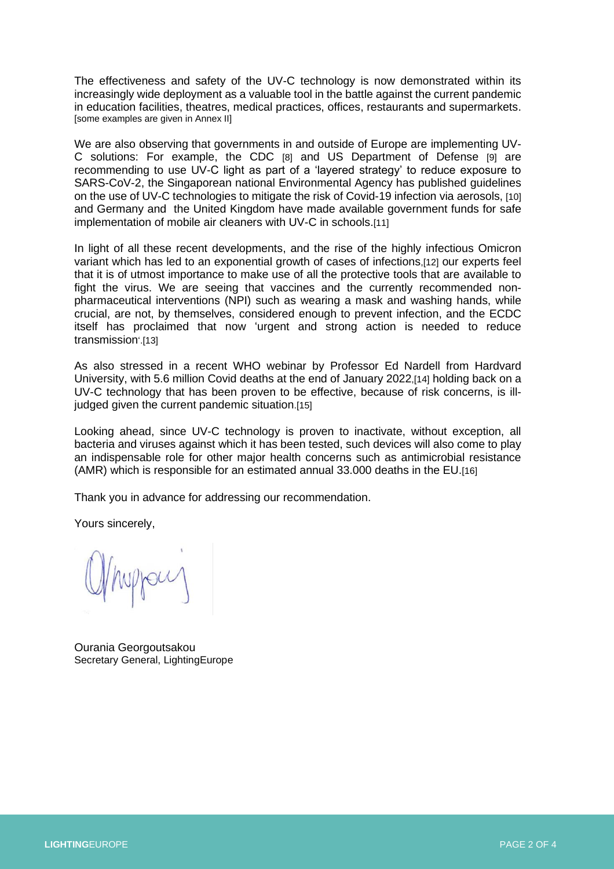The effectiveness and safety of the UV-C technology is now demonstrated within its increasingly wide deployment as a valuable tool in the battle against the current pandemic in education facilities, theatres, medical practices, offices, restaurants and supermarkets. [some examples are given in Annex II]

We are also observing that governments in and outside of Europe are implementing UV-C solutions: For example, the CDC [8] and US Department of Defense [9] are recommending to use UV-C light as part of a 'layered strategy' to reduce exposure to SARS-CoV-2, the Singaporean national Environmental Agency has published guidelines on the use of UV-C technologies to mitigate the risk of Covid-19 infection via aerosols, [10] and Germany and the United Kingdom have made available government funds for safe implementation of mobile air cleaners with UV-C in schools.[11]

In light of all these recent developments, and the rise of the highly infectious Omicron variant which has led to an exponential growth of cases of infections,[12] our experts feel that it is of utmost importance to make use of all the protective tools that are available to fight the virus. We are seeing that vaccines and the currently recommended nonpharmaceutical interventions (NPI) such as wearing a mask and washing hands, while crucial, are not, by themselves, considered enough to prevent infection, and the ECDC itself has proclaimed that now 'urgent and strong action is needed to reduce transmission'.[13]

As also stressed in a recent WHO webinar by Professor Ed Nardell from Hardvard University, with 5.6 million Covid deaths at the end of January 2022,[14] holding back on a UV-C technology that has been proven to be effective, because of risk concerns, is illjudged given the current pandemic situation.[15]

Looking ahead, since UV-C technology is proven to inactivate, without exception, all bacteria and viruses against which it has been tested, such devices will also come to play an indispensable role for other major health concerns such as antimicrobial resistance (AMR) which is responsible for an estimated annual 33,000 deaths in the EU.[16]

Thank you in advance for addressing our recommendation.

Yours sincerely,

Ourania Georgoutsakou Secretary General, LightingEurope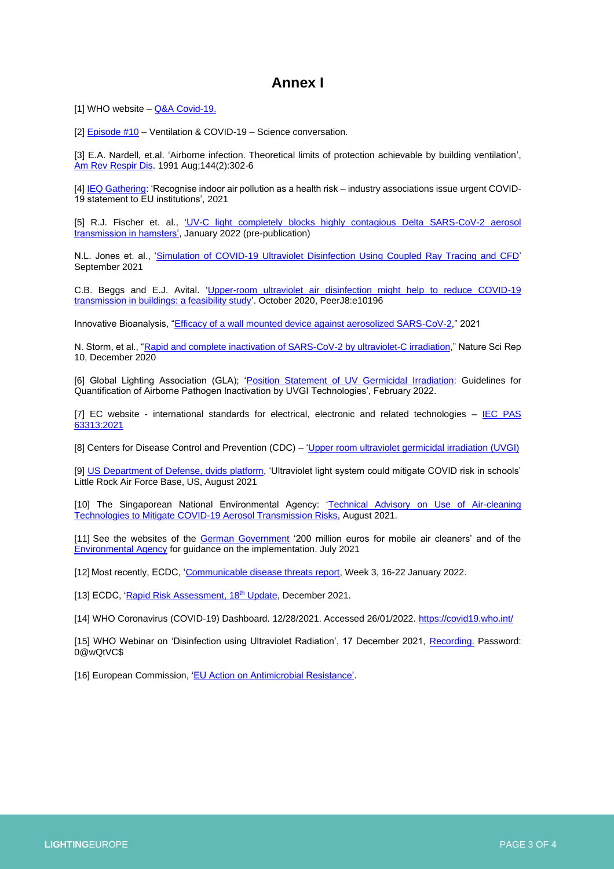## **Annex I**

[1] WHO website – [Q&A Covid-19.](https://www.who.int/news-room/questions-and-answers/item/coronavirus-disease-covid-19-how-is-it-transmitted)

[2[\] Episode #10](https://www.who.int/emergencies/diseases/novel-coronavirus-2019/media-resources/science-in-5/episode-10---ventilation-covid-19) – Ventilation & COVID-19 – Science conversation.

[3] E.A. Nardell, et.al. 'Airborne infection. Theoretical limits of protection achievable by building ventilation', [Am Rev Respir Dis.](https://www.atsjournals.org/doi/abs/10.1164/ajrccm/144.2.302) 1991 Aug;144(2):302-6

[4[\] IEQ Gathering:](https://www.evia.eu/wp-content/uploads/IEQ-Gathering-COVID-19-Joint-statement-September-2021-PDF.pdf) 'Recognise indoor air pollution as a health risk – industry associations issue urgent COVID-19 statement to EU institutions', 2021

[5] R.J. Fischer et. al., ['UV-C light completely blocks highly contagious Delta SARS-CoV-2 aerosol](https://www.biorxiv.org/content/10.1101/2022.01.10.475722v1.full.pdf)  [transmission in hamsters',](https://www.biorxiv.org/content/10.1101/2022.01.10.475722v1.full.pdf) January 2022 (pre-publication)

N.L. Jones et. al., ['Simulation of COVID-19 Ultraviolet Disinfection Using Coupled Ray Tracing and CFD'](https://www.researchgate.net/publication/354100301_Simulation_of_COVID-19_Ultraviolet_Disinfection_Using_Coupled_Ray_Tracing_and_CFD) September 2021

C.B. Beggs and E.J. Avital. ['Upper-room ultraviolet air disinfection might help to reduce COVID-19](https://doi.org/10.7717/peerj.10196)  [transmission in buildings: a feasibility study'.](https://doi.org/10.7717/peerj.10196) October 2020, PeerJ8:e10196

Innovative Bioanalysis, ["Efficacy of a wall mounted device against aerosolized SARS-CoV-2,](https://www.assets.signify.com/is/content/Signify/Assets/philips-lighting/global/20210301-innovative-bioanalysis-report-sars-cov-2.pdf)" 2021

N. Storm, et al., ["Rapid and complete inactivation of SARS-CoV-2 by ultraviolet-C irradiation,"](https://www.nature.com/articles/s41598-020-79600-8) Nature Sci Rep 10, December 2020

[6] Global Lighting Association (GLA); ['Position Statement of UV Germicidal Irradiation:](https://www.globallightingassociation.org/images/articles/GLA_Position_Statement_-_Guidelines_for_quantification_of_airborne_pathogen_inactivation_by_UVGI_technologies.pdf) Guidelines for Quantification of Airborne Pathogen Inactivation by UVGI Technologies', February 2022.

[7] EC website - international standards for electrical, electronic and related technologies  $-$  IEC PAS [63313:2021](https://webstore.iec.ch/publication/68489)

[8] Centers for Disease Control and Prevention (CDC) – ['Upper room ultraviolet germicidal irradiation \(UVGI\)](https://www.cdc.gov/coronavirus/2019-ncov/community/ventilation/uvgi.html)

[9] [US Department of Defense, dvids platform,](https://www.dvidshub.net/news/403795/ultraviolet-light-system-could-mitigate-covid-risk-schools) 'Ultraviolet light system could mitigate COVID risk in schools' Little Rock Air Force Base, US, August 2021

[10] The Singaporean National Environmental Agency: 'Technical Advisory on Use of Air-cleaning [Technologies to Mitigate COVID-19 Aerosol Transmission Risks,](https://www.nea.gov.sg/our-services/public-cleanliness/environmental-cleaning-guidelines/guidelines/guidance-note-on-use-of-air-cleaning-technologies-to-mitigate-covid-19-aerosol-transmission-risk) August 2021.

[11] See the websites of the [German Government](https://www.bundesregierung.de/breg-de/aktuelles/mobile-luftfilter-corona-1941984) '200 million euros for mobile air cleaners' and of the [Environmental Agency](https://www.umweltbundesamt.de/themen/anforderungen-an-mobile-luftreiniger-an-schulen) for guidance on the implementation. July 2021

[12] Most recently, ECDC, ['Communicable disease threats report,](https://www.ecdc.europa.eu/sites/default/files/documents/Communicable-disease-threats-report-22-jan-2022.pdf) Week 3, 16-22 January 2022.

[13] ECDC, ['Rapid Risk Assessment, 18](https://www.ecdc.europa.eu/sites/default/files/documents/covid-19-assessment-further-emergence-omicron-18th-risk-assessment-december-2021.pdf)<sup>th</sup> Update, December 2021.

[14] WHO Coronavirus (COVID-19) Dashboard. 12/28/2021. Accessed 26/01/2022[. https://covid19.who.int/](https://covid19.who.int/)

[15] WHO Webinar on 'Disinfection using Ultraviolet Radiation', 17 December 2021, [Recording.](https://who.zoom.us/rec/share/jJ-g1XfEdxMHIE9UaihXiFZ8fQvDLtrjofThW9QpH3m0dgdlxsRKlZHt0pWpJtUC.VXXhGvIX4EvLX41W) Password: 0@wQtVC\$

[16] European Commission, ['EU Action on Antimicrobial Resistance'.](https://ec.europa.eu/health/antimicrobial-resistance/eu-action-antimicrobial-resistance_en)